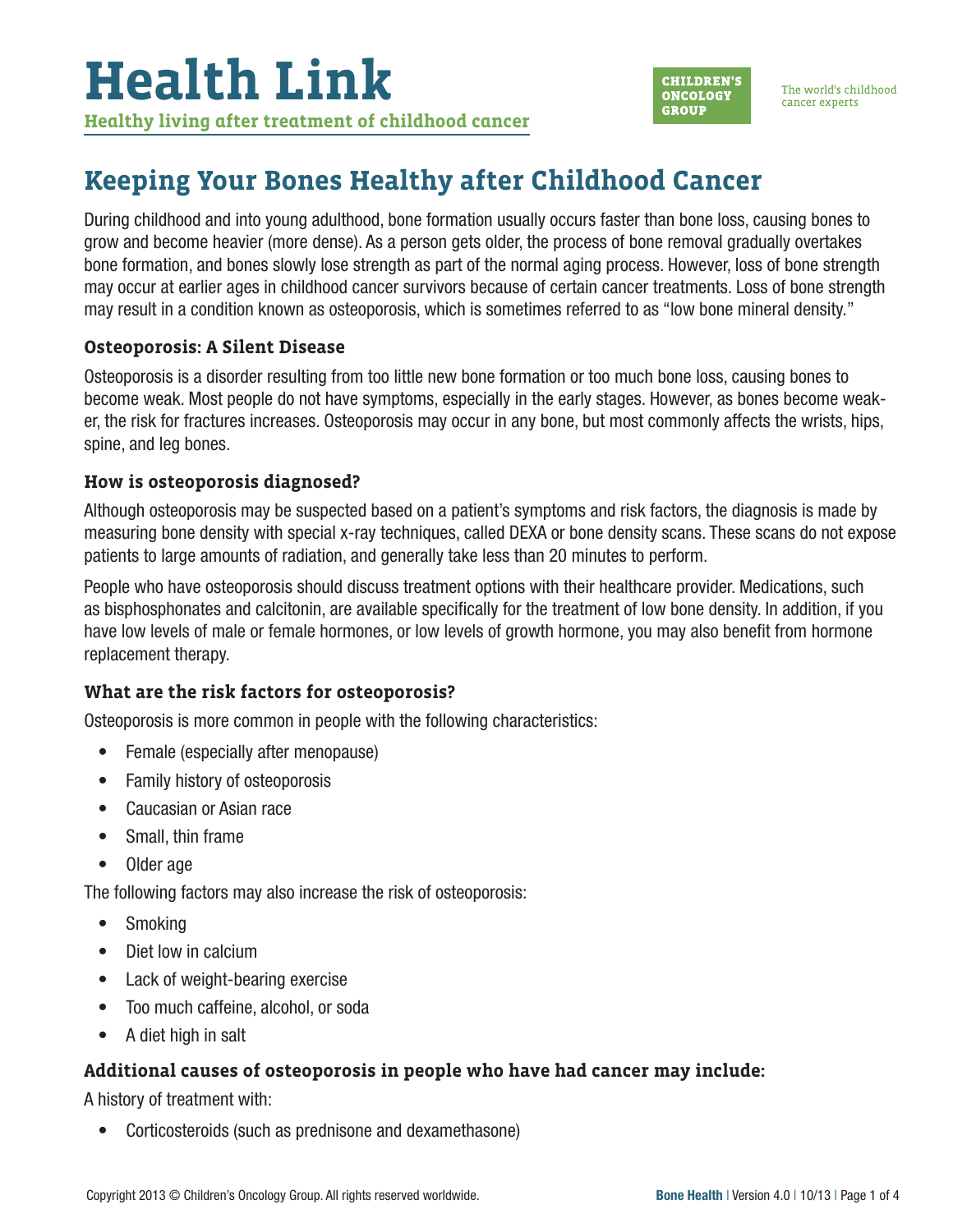

The world's childhood cancer experts

## **Keeping Your Bones Healthy after Childhood Cancer**

During childhood and into young adulthood, bone formation usually occurs faster than bone loss, causing bones to grow and become heavier (more dense). As a person gets older, the process of bone removal gradually overtakes bone formation, and bones slowly lose strength as part of the normal aging process. However, loss of bone strength may occur at earlier ages in childhood cancer survivors because of certain cancer treatments. Loss of bone strength may result in a condition known as osteoporosis, which is sometimes referred to as "low bone mineral density."

#### **Osteoporosis: A Silent Disease**

Osteoporosis is a disorder resulting from too little new bone formation or too much bone loss, causing bones to become weak. Most people do not have symptoms, especially in the early stages. However, as bones become weaker, the risk for fractures increases. Osteoporosis may occur in any bone, but most commonly affects the wrists, hips, spine, and leg bones.

#### **How is osteoporosis diagnosed?**

Although osteoporosis may be suspected based on a patient's symptoms and risk factors, the diagnosis is made by measuring bone density with special x-ray techniques, called DEXA or bone density scans. These scans do not expose patients to large amounts of radiation, and generally take less than 20 minutes to perform.

People who have osteoporosis should discuss treatment options with their healthcare provider. Medications, such as bisphosphonates and calcitonin, are available specifically for the treatment of low bone density. In addition, if you have low levels of male or female hormones, or low levels of growth hormone, you may also benefit from hormone replacement therapy.

#### **What are the risk factors for osteoporosis?**

Osteoporosis is more common in people with the following characteristics:

- Female (especially after menopause)
- Family history of osteoporosis
- Caucasian or Asian race
- Small, thin frame
- Older age

The following factors may also increase the risk of osteoporosis:

- Smoking
- Diet low in calcium
- Lack of weight-bearing exercise
- Too much caffeine, alcohol, or soda
- A diet high in salt

#### **Additional causes of osteoporosis in people who have had cancer may include:**

A history of treatment with:

• Corticosteroids (such as prednisone and dexamethasone)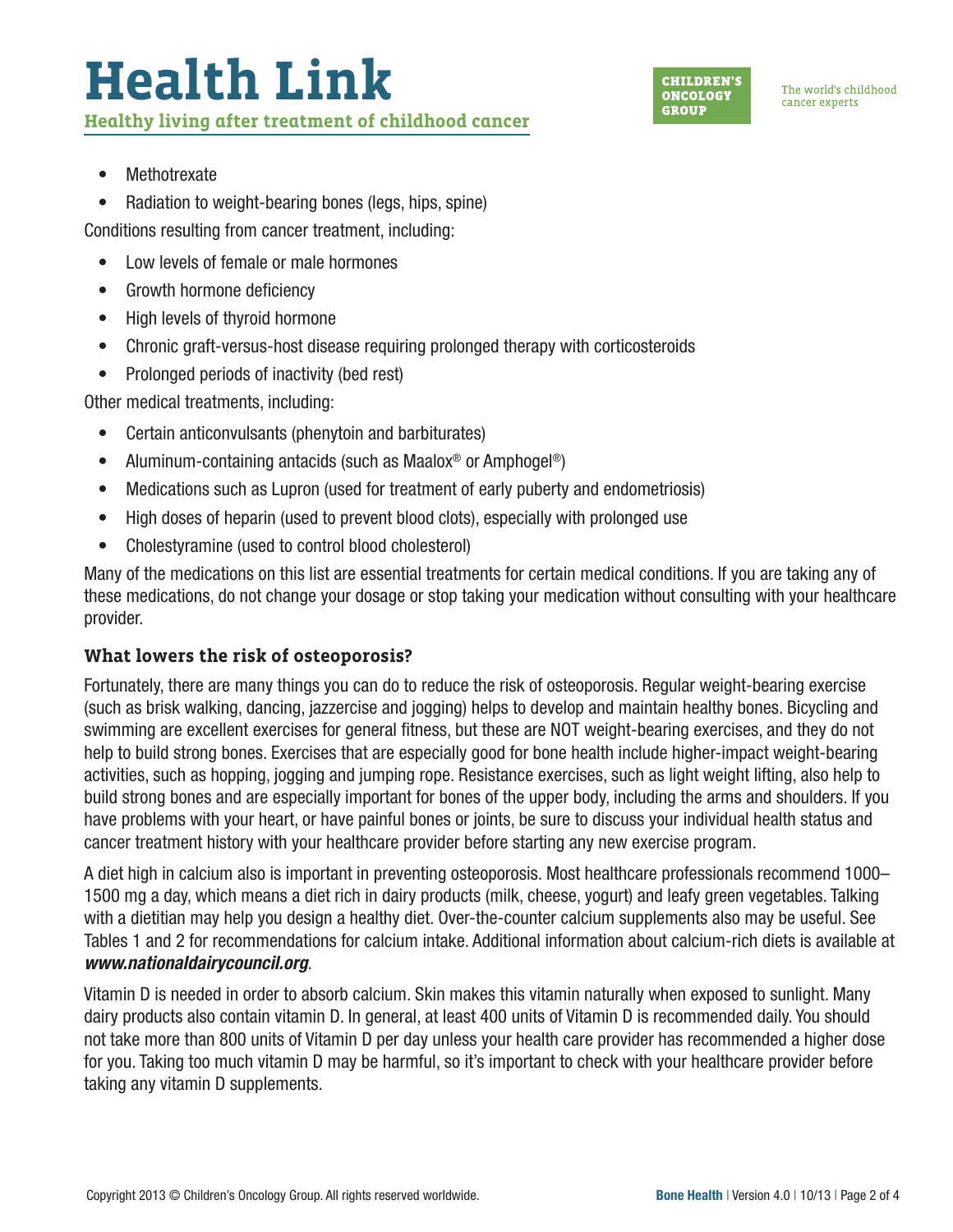# **Health Link Healthy living after treatment of childhood cancer**



- Methotrexate
- Radiation to weight-bearing bones (legs, hips, spine)

Conditions resulting from cancer treatment, including:

- Low levels of female or male hormones
- Growth hormone deficiency
- High levels of thyroid hormone
- Chronic graft-versus-host disease requiring prolonged therapy with corticosteroids
- Prolonged periods of inactivity (bed rest)

Other medical treatments, including:

- Certain anticonvulsants (phenytoin and barbiturates)
- Aluminum-containing antacids (such as Maalox<sup>®</sup> or Amphogel<sup>®</sup>)
- Medications such as Lupron (used for treatment of early puberty and endometriosis)
- High doses of heparin (used to prevent blood clots), especially with prolonged use
- Cholestyramine (used to control blood cholesterol)

Many of the medications on this list are essential treatments for certain medical conditions. If you are taking any of these medications, do not change your dosage or stop taking your medication without consulting with your healthcare provider.

#### **What lowers the risk of osteoporosis?**

Fortunately, there are many things you can do to reduce the risk of osteoporosis. Regular weight-bearing exercise (such as brisk walking, dancing, jazzercise and jogging) helps to develop and maintain healthy bones. Bicycling and swimming are excellent exercises for general fitness, but these are NOT weight-bearing exercises, and they do not help to build strong bones. Exercises that are especially good for bone health include higher-impact weight-bearing activities, such as hopping, jogging and jumping rope. Resistance exercises, such as light weight lifting, also help to build strong bones and are especially important for bones of the upper body, including the arms and shoulders. If you have problems with your heart, or have painful bones or joints, be sure to discuss your individual health status and cancer treatment history with your healthcare provider before starting any new exercise program.

A diet high in calcium also is important in preventing osteoporosis. Most healthcare professionals recommend 1000– 1500 mg a day, which means a diet rich in dairy products (milk, cheese, yogurt) and leafy green vegetables. Talking with a dietitian may help you design a healthy diet. Over-the-counter calcium supplements also may be useful. See Tables 1 and 2 for recommendations for calcium intake. Additional information about calcium-rich diets is available at *[www.nationaldairycouncil.org](http://www.nationaldairycouncil.org)*.

Vitamin D is needed in order to absorb calcium. Skin makes this vitamin naturally when exposed to sunlight. Many dairy products also contain vitamin D. In general, at least 400 units of Vitamin D is recommended daily. You should not take more than 800 units of Vitamin D per day unless your health care provider has recommended a higher dose for you. Taking too much vitamin D may be harmful, so it's important to check with your healthcare provider before taking any vitamin D supplements.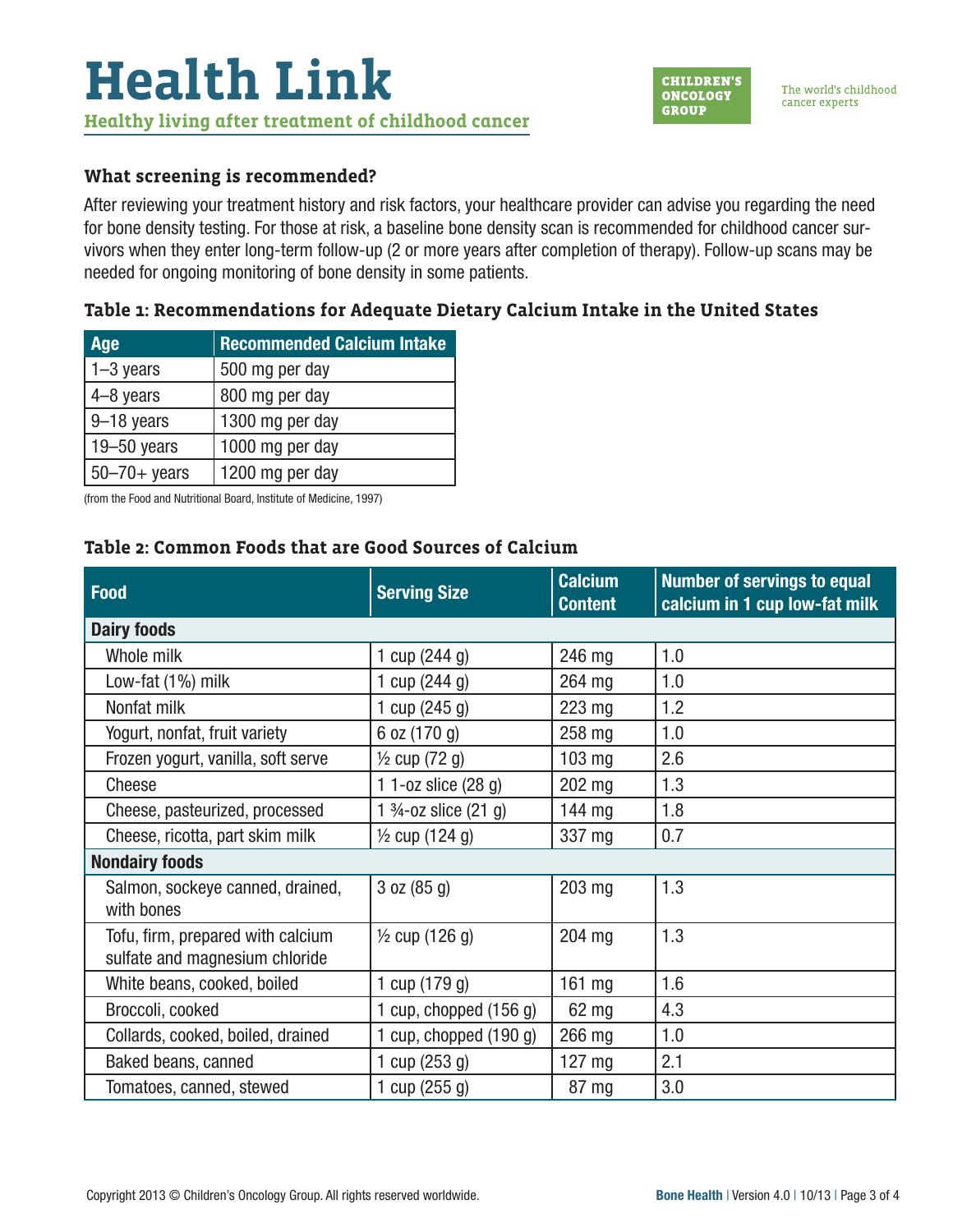#### **What screening is recommended?**

After reviewing your treatment history and risk factors, your healthcare provider can advise you regarding the need for bone density testing. For those at risk, a baseline bone density scan is recommended for childhood cancer survivors when they enter long-term follow-up (2 or more years after completion of therapy). Follow-up scans may be needed for ongoing monitoring of bone density in some patients.

#### **Table 1: Recommendations for Adequate Dietary Calcium Intake in the United States**

| Age                        | <b>Recommended Calcium Intake</b> |  |  |
|----------------------------|-----------------------------------|--|--|
| $\vert$ 1–3 years          | 500 mg per day                    |  |  |
| $4-8$ years                | 800 mg per day                    |  |  |
| $9-18$ years               | 1300 mg per day                   |  |  |
| 19 $-50$ years             | 1000 mg per day                   |  |  |
| $ 50 - 70 + \text{years} $ | 1200 mg per day                   |  |  |

(from the Food and Nutritional Board, Institute of Medicine, 1997)

#### **Table 2: Common Foods that are Good Sources of Calcium**

| <b>Food</b>                                                         | <b>Serving Size</b>              | <b>Calcium</b><br><b>Content</b> | <b>Number of servings to equal</b><br>calcium in 1 cup low-fat milk |  |  |  |
|---------------------------------------------------------------------|----------------------------------|----------------------------------|---------------------------------------------------------------------|--|--|--|
| <b>Dairy foods</b>                                                  |                                  |                                  |                                                                     |  |  |  |
| Whole milk                                                          | 1 cup (244 g)                    | 246 mg                           | 1.0                                                                 |  |  |  |
| Low-fat (1%) milk                                                   | 1 cup $(244 g)$                  | 264 mg                           | 1.0                                                                 |  |  |  |
| Nonfat milk                                                         | 1 cup $(245 g)$                  | 223 mg                           | 1.2                                                                 |  |  |  |
| Yogurt, nonfat, fruit variety                                       | 6 oz (170 g)                     | 258 mg                           | 1.0                                                                 |  |  |  |
| Frozen yogurt, vanilla, soft serve                                  | $\frac{1}{2}$ cup (72 g)         | $103$ mg                         | 2.6                                                                 |  |  |  |
| Cheese                                                              | 1 1-oz slice (28 g)              | 202 mg                           | 1.3                                                                 |  |  |  |
| Cheese, pasteurized, processed                                      | 1 $\frac{3}{4}$ -oz slice (21 g) | 144 mg                           | 1.8                                                                 |  |  |  |
| Cheese, ricotta, part skim milk                                     | 1/ <sub>2</sub> cup (124 g)      | 337 mg                           | 0.7                                                                 |  |  |  |
| <b>Nondairy foods</b>                                               |                                  |                                  |                                                                     |  |  |  |
| Salmon, sockeye canned, drained,<br>with bones                      | 3 oz (85 g)                      | 203 mg                           | 1.3                                                                 |  |  |  |
| Tofu, firm, prepared with calcium<br>sulfate and magnesium chloride | $\frac{1}{2}$ cup (126 g)        | 204 mg                           | 1.3                                                                 |  |  |  |
| White beans, cooked, boiled                                         | 1 cup (179 g)                    | 161 mg                           | 1.6                                                                 |  |  |  |
| Broccoli, cooked                                                    | 1 cup, chopped $(156 g)$         | 62 mg                            | 4.3                                                                 |  |  |  |
| Collards, cooked, boiled, drained                                   | 1 cup, chopped $(190 g)$         | 266 mg                           | 1.0                                                                 |  |  |  |
| Baked beans, canned                                                 | 1 cup $(253 g)$                  | 127 mg                           | 2.1                                                                 |  |  |  |
| Tomatoes, canned, stewed                                            | 1 cup $(255 g)$                  | 87 mg                            | 3.0                                                                 |  |  |  |